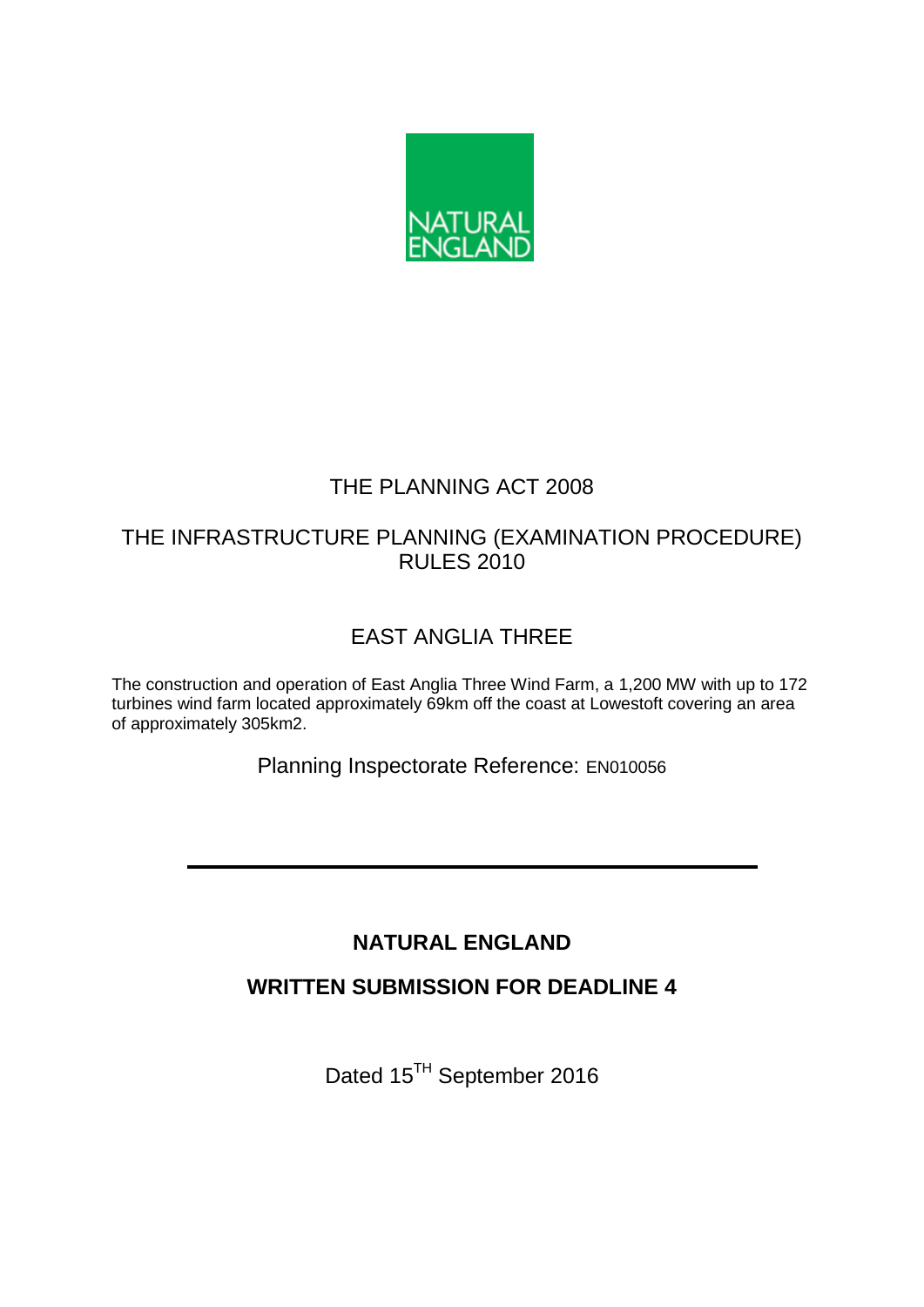

# THE PLANNING ACT 2008

# THE INFRASTRUCTURE PLANNING (EXAMINATION PROCEDURE) RULES 2010

# EAST ANGLIA THREE

The construction and operation of East Anglia Three Wind Farm, a 1,200 MW with up to 172 turbines wind farm located approximately 69km off the coast at Lowestoft covering an area of approximately 305km2.

Planning Inspectorate Reference: EN010056

# **NATURAL ENGLAND**

## **WRITTEN SUBMISSION FOR DEADLINE 4**

Dated 15<sup>TH</sup> September 2016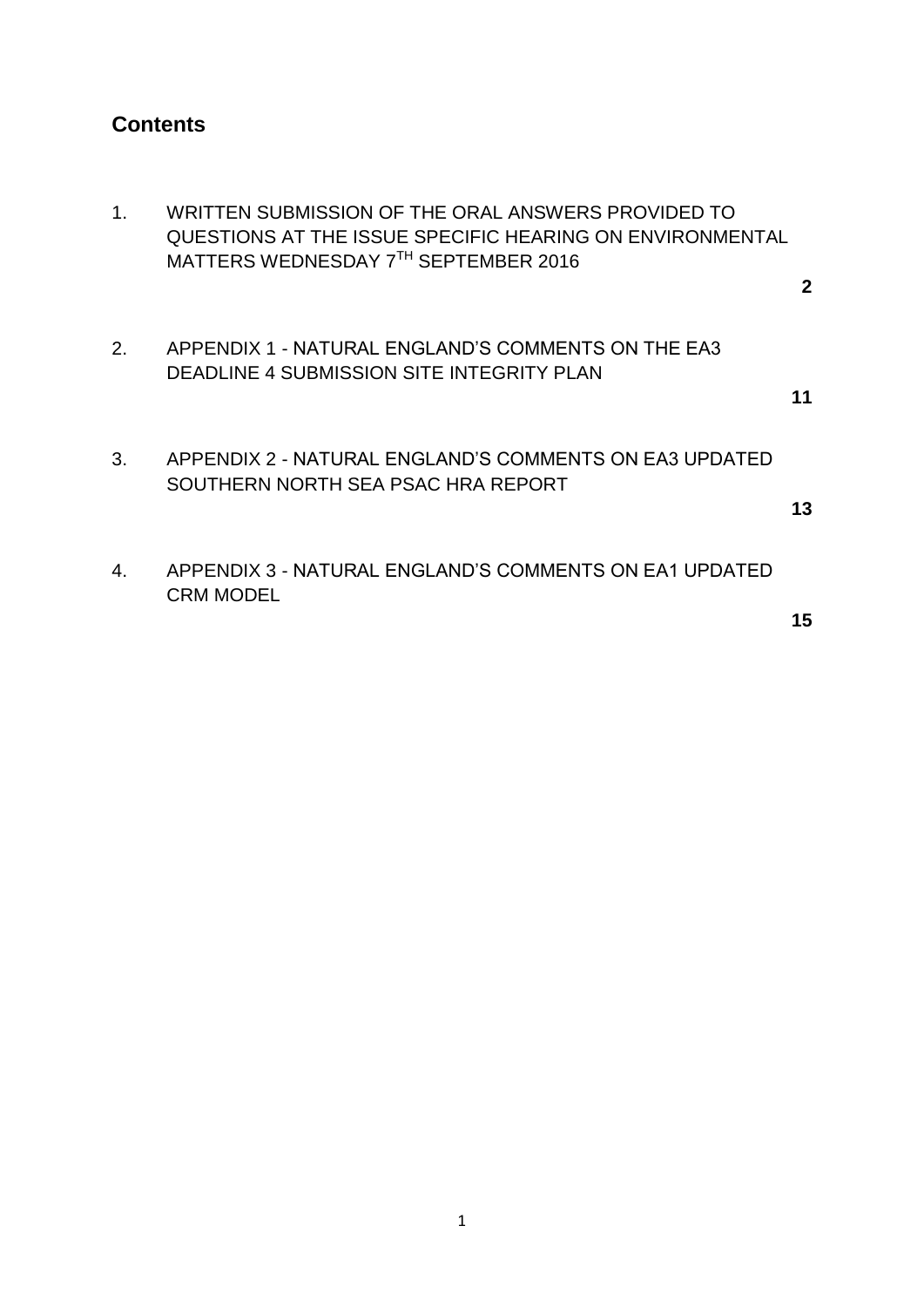## **Contents**

| 1. | WRITTEN SUBMISSION OF THE ORAL ANSWERS PROVIDED TO<br>QUESTIONS AT THE ISSUE SPECIFIC HEARING ON ENVIRONMENTAL<br>MATTERS WEDNESDAY 7TH SEPTEMBER 2016 |    |
|----|--------------------------------------------------------------------------------------------------------------------------------------------------------|----|
|    |                                                                                                                                                        | 2  |
| 2. | APPENDIX 1 - NATURAL ENGLAND'S COMMENTS ON THE EA3<br>DEADLINE 4 SUBMISSION SITE INTEGRITY PLAN                                                        | 11 |
| 3. | APPENDIX 2 - NATURAL ENGLAND'S COMMENTS ON EA3 UPDATED<br>SOUTHERN NORTH SEA PSAC HRA REPORT                                                           | 13 |
| 4. | APPENDIX 3 - NATURAL ENGLAND'S COMMENTS ON EA1 UPDATED<br><b>CRM MODEL</b>                                                                             | 15 |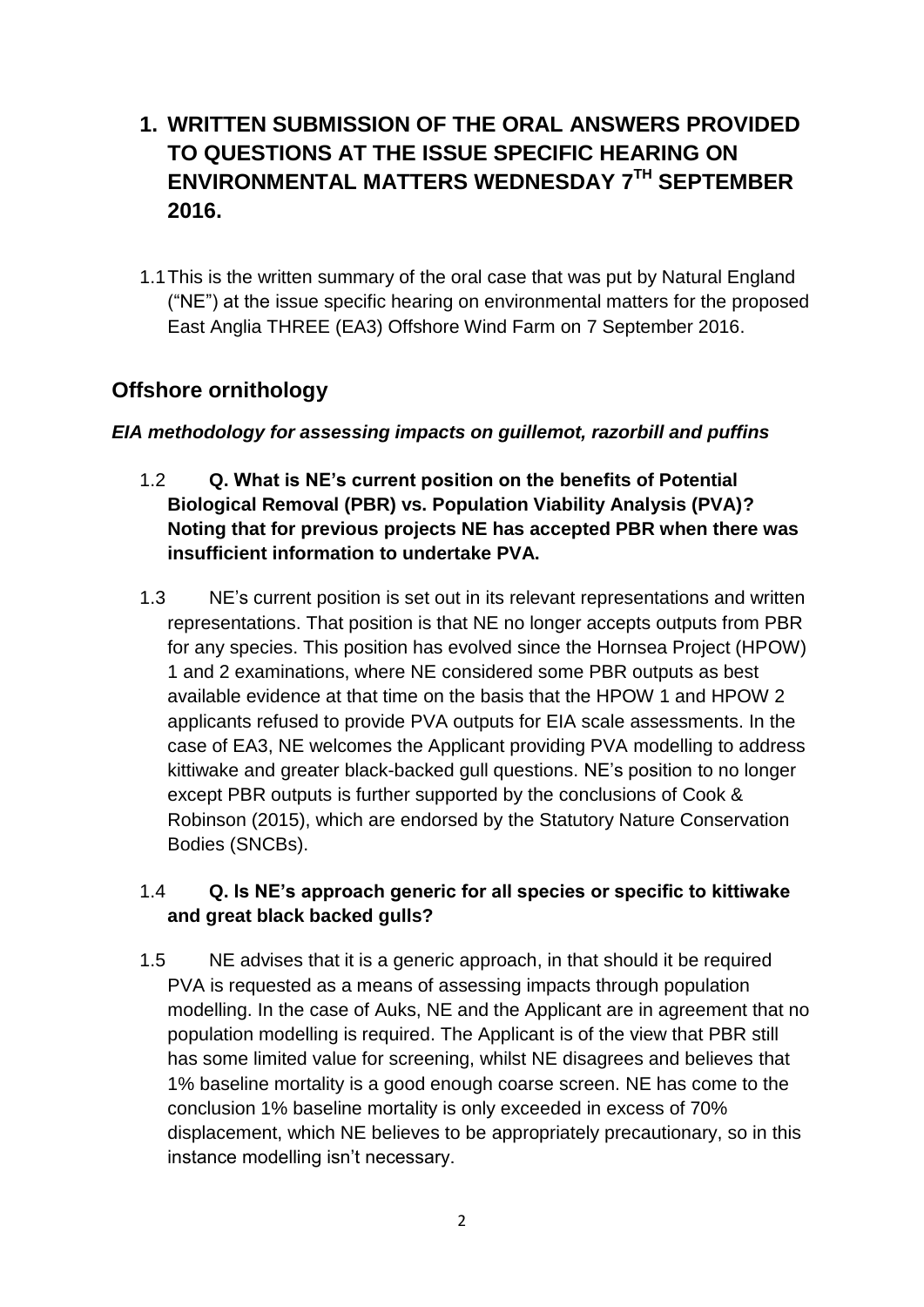# **1. WRITTEN SUBMISSION OF THE ORAL ANSWERS PROVIDED TO QUESTIONS AT THE ISSUE SPECIFIC HEARING ON ENVIRONMENTAL MATTERS WEDNESDAY 7 TH SEPTEMBER 2016.**

1.1This is the written summary of the oral case that was put by Natural England ("NE") at the issue specific hearing on environmental matters for the proposed East Anglia THREE (EA3) Offshore Wind Farm on 7 September 2016.

## **Offshore ornithology**

### *EIA methodology for assessing impacts on guillemot, razorbill and puffins*

- 1.2 **Q. What is NE's current position on the benefits of Potential Biological Removal (PBR) vs. Population Viability Analysis (PVA)? Noting that for previous projects NE has accepted PBR when there was insufficient information to undertake PVA.**
- 1.3 NE's current position is set out in its relevant representations and written representations. That position is that NE no longer accepts outputs from PBR for any species. This position has evolved since the Hornsea Project (HPOW) 1 and 2 examinations, where NE considered some PBR outputs as best available evidence at that time on the basis that the HPOW 1 and HPOW 2 applicants refused to provide PVA outputs for EIA scale assessments. In the case of EA3, NE welcomes the Applicant providing PVA modelling to address kittiwake and greater black-backed gull questions. NE's position to no longer except PBR outputs is further supported by the conclusions of Cook & Robinson (2015), which are endorsed by the Statutory Nature Conservation Bodies (SNCBs).

### 1.4 **Q. Is NE's approach generic for all species or specific to kittiwake and great black backed gulls?**

1.5 NE advises that it is a generic approach, in that should it be required PVA is requested as a means of assessing impacts through population modelling. In the case of Auks, NE and the Applicant are in agreement that no population modelling is required. The Applicant is of the view that PBR still has some limited value for screening, whilst NE disagrees and believes that 1% baseline mortality is a good enough coarse screen. NE has come to the conclusion 1% baseline mortality is only exceeded in excess of 70% displacement, which NE believes to be appropriately precautionary, so in this instance modelling isn't necessary.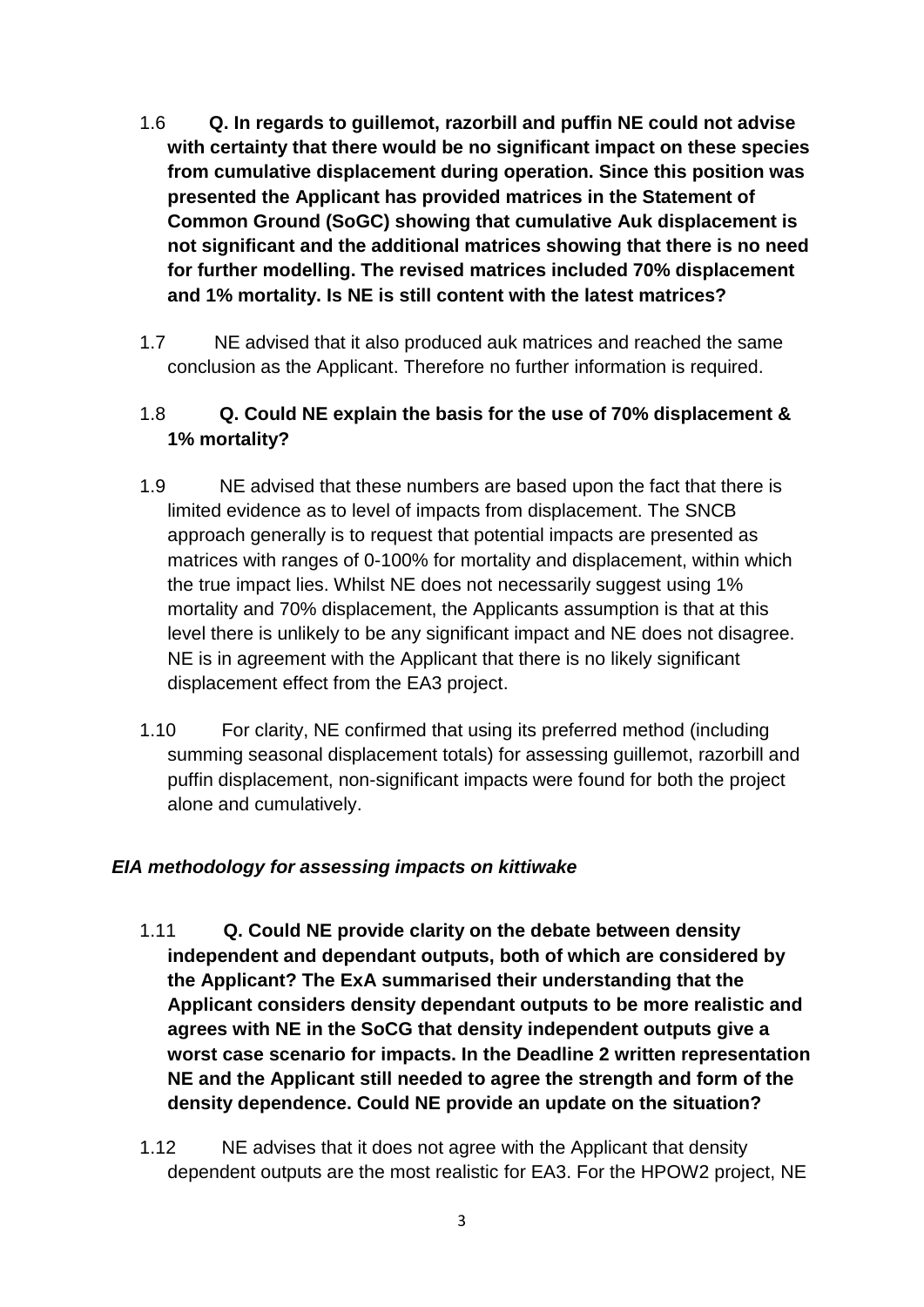- 1.6 **Q. In regards to guillemot, razorbill and puffin NE could not advise with certainty that there would be no significant impact on these species from cumulative displacement during operation. Since this position was presented the Applicant has provided matrices in the Statement of Common Ground (SoGC) showing that cumulative Auk displacement is not significant and the additional matrices showing that there is no need for further modelling. The revised matrices included 70% displacement and 1% mortality. Is NE is still content with the latest matrices?**
- 1.7 NE advised that it also produced auk matrices and reached the same conclusion as the Applicant. Therefore no further information is required.

## 1.8 **Q. Could NE explain the basis for the use of 70% displacement & 1% mortality?**

- 1.9 NE advised that these numbers are based upon the fact that there is limited evidence as to level of impacts from displacement. The SNCB approach generally is to request that potential impacts are presented as matrices with ranges of 0-100% for mortality and displacement, within which the true impact lies. Whilst NE does not necessarily suggest using 1% mortality and 70% displacement, the Applicants assumption is that at this level there is unlikely to be any significant impact and NE does not disagree. NE is in agreement with the Applicant that there is no likely significant displacement effect from the EA3 project.
- 1.10 For clarity, NE confirmed that using its preferred method (including summing seasonal displacement totals) for assessing guillemot, razorbill and puffin displacement, non-significant impacts were found for both the project alone and cumulatively.

### *EIA methodology for assessing impacts on kittiwake*

- 1.11 **Q. Could NE provide clarity on the debate between density independent and dependant outputs, both of which are considered by the Applicant? The ExA summarised their understanding that the Applicant considers density dependant outputs to be more realistic and agrees with NE in the SoCG that density independent outputs give a worst case scenario for impacts. In the Deadline 2 written representation NE and the Applicant still needed to agree the strength and form of the density dependence. Could NE provide an update on the situation?**
- 1.12 NE advises that it does not agree with the Applicant that density dependent outputs are the most realistic for EA3. For the HPOW2 project, NE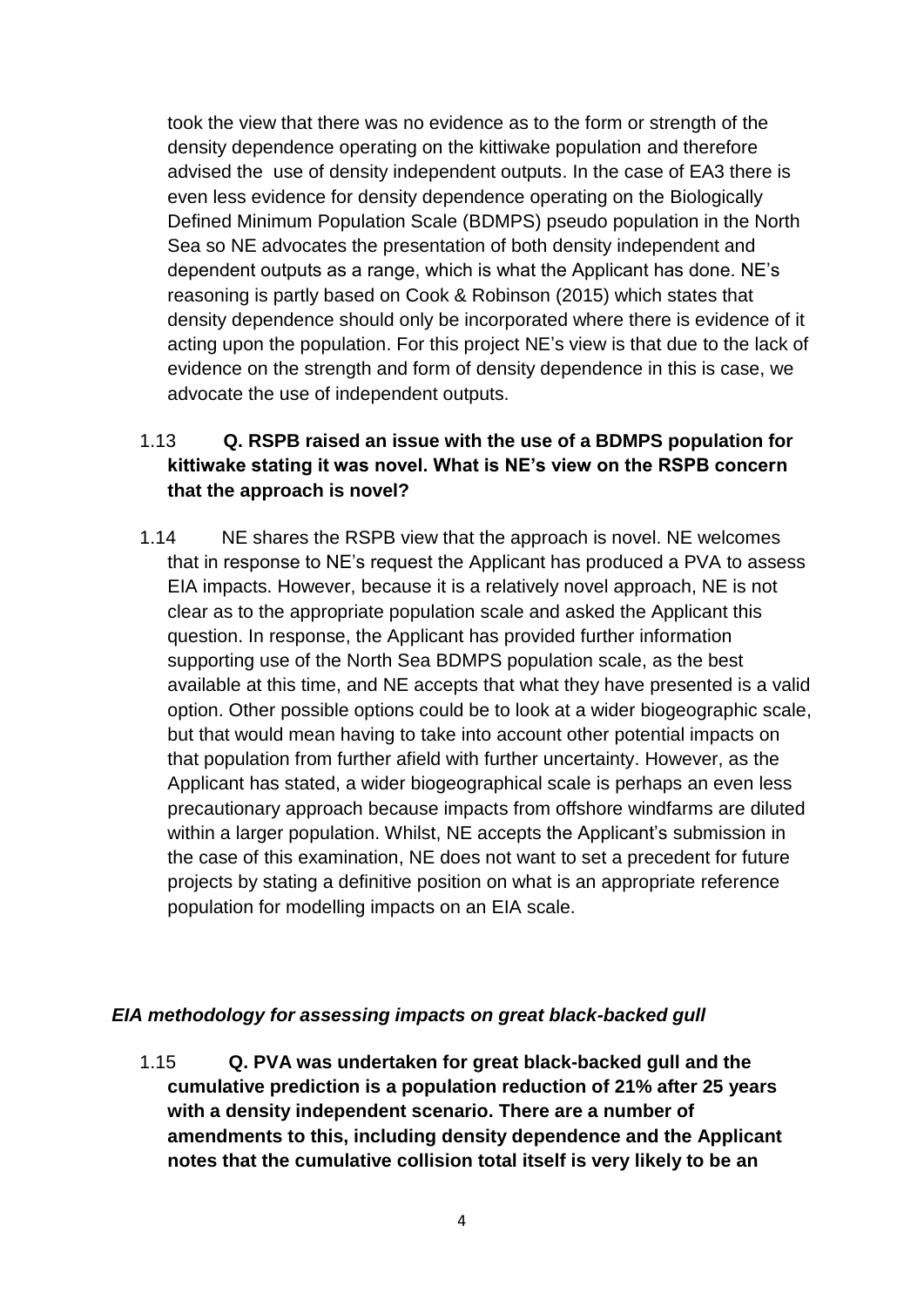took the view that there was no evidence as to the form or strength of the density dependence operating on the kittiwake population and therefore advised the use of density independent outputs. In the case of EA3 there is even less evidence for density dependence operating on the Biologically Defined Minimum Population Scale (BDMPS) pseudo population in the North Sea so NE advocates the presentation of both density independent and dependent outputs as a range, which is what the Applicant has done. NE's reasoning is partly based on Cook & Robinson (2015) which states that density dependence should only be incorporated where there is evidence of it acting upon the population. For this project NE's view is that due to the lack of evidence on the strength and form of density dependence in this is case, we advocate the use of independent outputs.

## 1.13 **Q. RSPB raised an issue with the use of a BDMPS population for kittiwake stating it was novel. What is NE's view on the RSPB concern that the approach is novel?**

1.14 NE shares the RSPB view that the approach is novel. NE welcomes that in response to NE's request the Applicant has produced a PVA to assess EIA impacts. However, because it is a relatively novel approach, NE is not clear as to the appropriate population scale and asked the Applicant this question. In response, the Applicant has provided further information supporting use of the North Sea BDMPS population scale, as the best available at this time, and NE accepts that what they have presented is a valid option. Other possible options could be to look at a wider biogeographic scale, but that would mean having to take into account other potential impacts on that population from further afield with further uncertainty. However, as the Applicant has stated, a wider biogeographical scale is perhaps an even less precautionary approach because impacts from offshore windfarms are diluted within a larger population. Whilst, NE accepts the Applicant's submission in the case of this examination, NE does not want to set a precedent for future projects by stating a definitive position on what is an appropriate reference population for modelling impacts on an EIA scale.

#### *EIA methodology for assessing impacts on great black-backed gull*

1.15 **Q. PVA was undertaken for great black-backed gull and the cumulative prediction is a population reduction of 21% after 25 years with a density independent scenario. There are a number of amendments to this, including density dependence and the Applicant notes that the cumulative collision total itself is very likely to be an**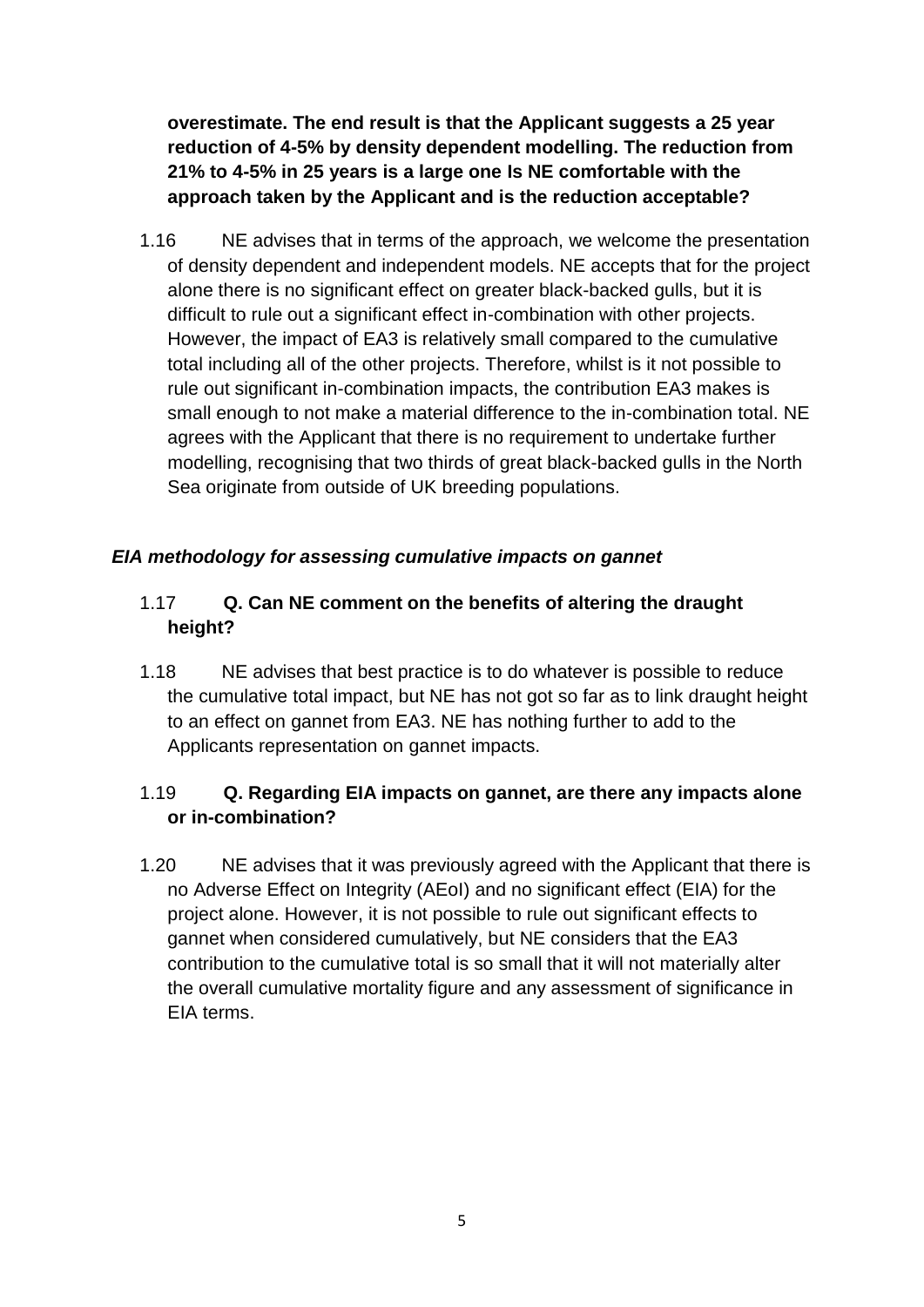**overestimate. The end result is that the Applicant suggests a 25 year reduction of 4-5% by density dependent modelling. The reduction from 21% to 4-5% in 25 years is a large one Is NE comfortable with the approach taken by the Applicant and is the reduction acceptable?**

1.16 NE advises that in terms of the approach, we welcome the presentation of density dependent and independent models. NE accepts that for the project alone there is no significant effect on greater black-backed gulls, but it is difficult to rule out a significant effect in-combination with other projects. However, the impact of EA3 is relatively small compared to the cumulative total including all of the other projects. Therefore, whilst is it not possible to rule out significant in-combination impacts, the contribution EA3 makes is small enough to not make a material difference to the in-combination total. NE agrees with the Applicant that there is no requirement to undertake further modelling, recognising that two thirds of great black-backed gulls in the North Sea originate from outside of UK breeding populations.

### *EIA methodology for assessing cumulative impacts on gannet*

### 1.17 **Q. Can NE comment on the benefits of altering the draught height?**

1.18 NE advises that best practice is to do whatever is possible to reduce the cumulative total impact, but NE has not got so far as to link draught height to an effect on gannet from EA3. NE has nothing further to add to the Applicants representation on gannet impacts.

### 1.19 **Q. Regarding EIA impacts on gannet, are there any impacts alone or in-combination?**

1.20 NE advises that it was previously agreed with the Applicant that there is no Adverse Effect on Integrity (AEoI) and no significant effect (EIA) for the project alone. However, it is not possible to rule out significant effects to gannet when considered cumulatively, but NE considers that the EA3 contribution to the cumulative total is so small that it will not materially alter the overall cumulative mortality figure and any assessment of significance in EIA terms.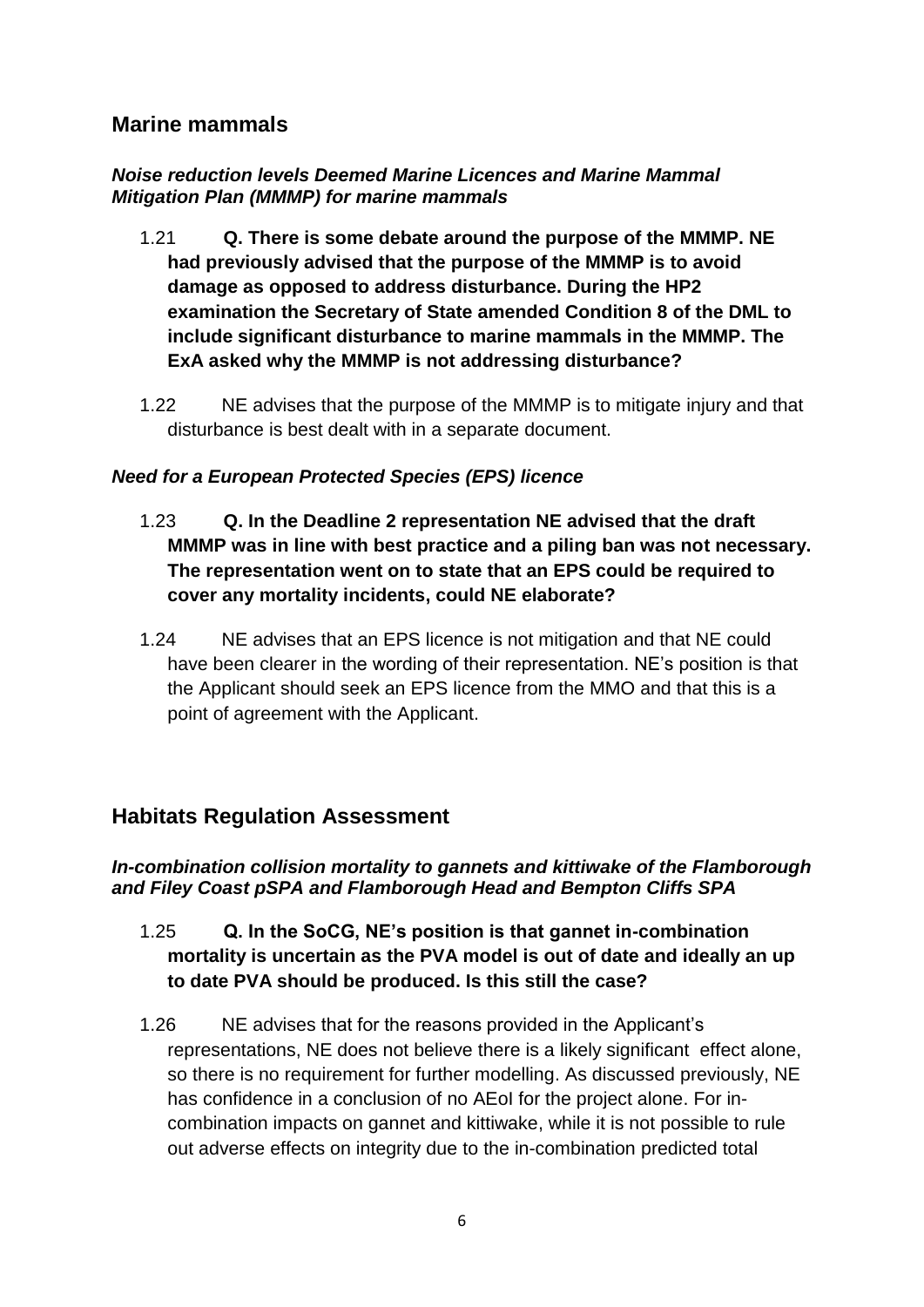## **Marine mammals**

#### *Noise reduction levels Deemed Marine Licences and Marine Mammal Mitigation Plan (MMMP) for marine mammals*

- 1.21 **Q. There is some debate around the purpose of the MMMP. NE had previously advised that the purpose of the MMMP is to avoid damage as opposed to address disturbance. During the HP2 examination the Secretary of State amended Condition 8 of the DML to include significant disturbance to marine mammals in the MMMP. The ExA asked why the MMMP is not addressing disturbance?**
- 1.22 NE advises that the purpose of the MMMP is to mitigate injury and that disturbance is best dealt with in a separate document.

### *Need for a European Protected Species (EPS) licence*

- 1.23 **Q. In the Deadline 2 representation NE advised that the draft MMMP was in line with best practice and a piling ban was not necessary. The representation went on to state that an EPS could be required to cover any mortality incidents, could NE elaborate?**
- 1.24 NE advises that an EPS licence is not mitigation and that NE could have been clearer in the wording of their representation. NE's position is that the Applicant should seek an EPS licence from the MMO and that this is a point of agreement with the Applicant.

## **Habitats Regulation Assessment**

### *In-combination collision mortality to gannets and kittiwake of the Flamborough and Filey Coast pSPA and Flamborough Head and Bempton Cliffs SPA*

- 1.25 **Q. In the SoCG, NE's position is that gannet in-combination mortality is uncertain as the PVA model is out of date and ideally an up to date PVA should be produced. Is this still the case?**
- 1.26 NE advises that for the reasons provided in the Applicant's representations, NE does not believe there is a likely significant effect alone, so there is no requirement for further modelling. As discussed previously, NE has confidence in a conclusion of no AEoI for the project alone. For incombination impacts on gannet and kittiwake, while it is not possible to rule out adverse effects on integrity due to the in-combination predicted total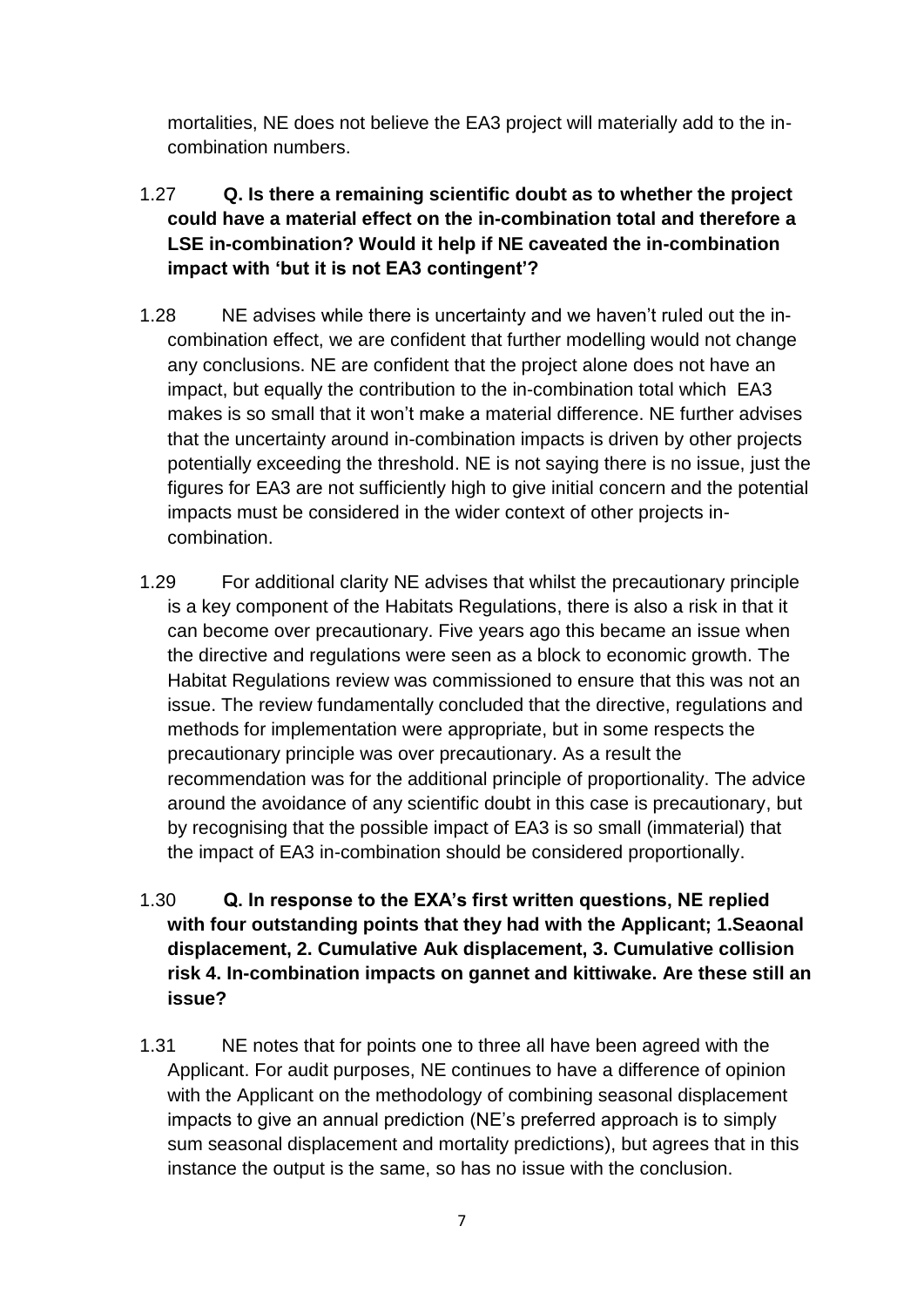mortalities, NE does not believe the EA3 project will materially add to the incombination numbers.

- 1.27 **Q. Is there a remaining scientific doubt as to whether the project could have a material effect on the in-combination total and therefore a LSE in-combination? Would it help if NE caveated the in-combination impact with 'but it is not EA3 contingent'?**
- 1.28 NE advises while there is uncertainty and we haven't ruled out the incombination effect, we are confident that further modelling would not change any conclusions. NE are confident that the project alone does not have an impact, but equally the contribution to the in-combination total which EA3 makes is so small that it won't make a material difference. NE further advises that the uncertainty around in-combination impacts is driven by other projects potentially exceeding the threshold. NE is not saying there is no issue, just the figures for EA3 are not sufficiently high to give initial concern and the potential impacts must be considered in the wider context of other projects incombination.
- 1.29 For additional clarity NE advises that whilst the precautionary principle is a key component of the Habitats Regulations, there is also a risk in that it can become over precautionary. Five years ago this became an issue when the directive and regulations were seen as a block to economic growth. The Habitat Regulations review was commissioned to ensure that this was not an issue. The review fundamentally concluded that the directive, regulations and methods for implementation were appropriate, but in some respects the precautionary principle was over precautionary. As a result the recommendation was for the additional principle of proportionality. The advice around the avoidance of any scientific doubt in this case is precautionary, but by recognising that the possible impact of EA3 is so small (immaterial) that the impact of EA3 in-combination should be considered proportionally.
- 1.30 **Q. In response to the EXA's first written questions, NE replied with four outstanding points that they had with the Applicant; 1.Seaonal displacement, 2. Cumulative Auk displacement, 3. Cumulative collision risk 4. In-combination impacts on gannet and kittiwake. Are these still an issue?**
- 1.31 NE notes that for points one to three all have been agreed with the Applicant. For audit purposes, NE continues to have a difference of opinion with the Applicant on the methodology of combining seasonal displacement impacts to give an annual prediction (NE's preferred approach is to simply sum seasonal displacement and mortality predictions), but agrees that in this instance the output is the same, so has no issue with the conclusion.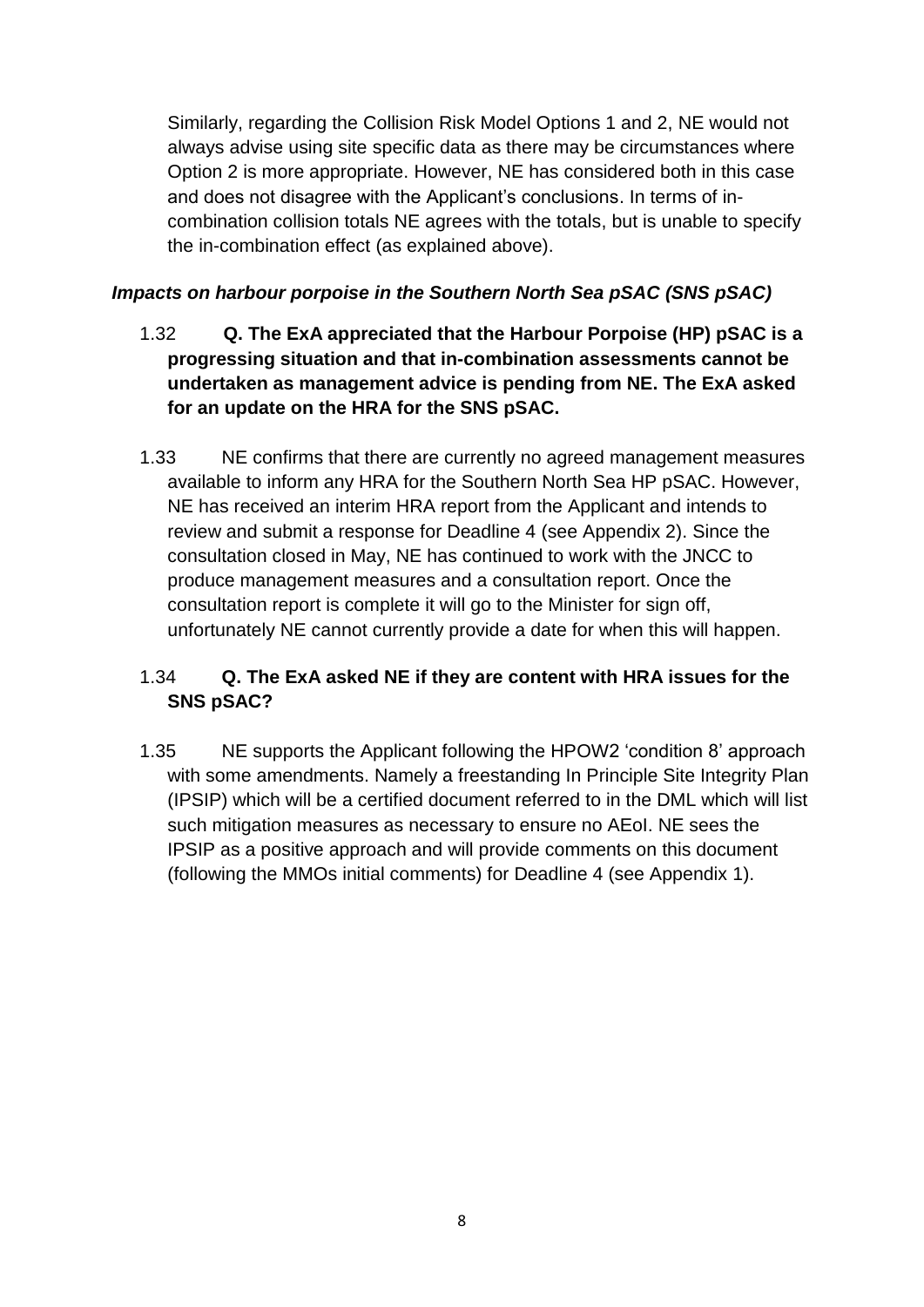Similarly, regarding the Collision Risk Model Options 1 and 2, NE would not always advise using site specific data as there may be circumstances where Option 2 is more appropriate. However, NE has considered both in this case and does not disagree with the Applicant's conclusions. In terms of incombination collision totals NE agrees with the totals, but is unable to specify the in-combination effect (as explained above).

## *Impacts on harbour porpoise in the Southern North Sea pSAC (SNS pSAC)*

- 1.32 **Q. The ExA appreciated that the Harbour Porpoise (HP) pSAC is a progressing situation and that in-combination assessments cannot be undertaken as management advice is pending from NE. The ExA asked for an update on the HRA for the SNS pSAC.**
- 1.33 NE confirms that there are currently no agreed management measures available to inform any HRA for the Southern North Sea HP pSAC. However, NE has received an interim HRA report from the Applicant and intends to review and submit a response for Deadline 4 (see Appendix 2). Since the consultation closed in May, NE has continued to work with the JNCC to produce management measures and a consultation report. Once the consultation report is complete it will go to the Minister for sign off, unfortunately NE cannot currently provide a date for when this will happen.

## 1.34 **Q. The ExA asked NE if they are content with HRA issues for the SNS pSAC?**

1.35 NE supports the Applicant following the HPOW2 'condition 8' approach with some amendments. Namely a freestanding In Principle Site Integrity Plan (IPSIP) which will be a certified document referred to in the DML which will list such mitigation measures as necessary to ensure no AEoI. NE sees the IPSIP as a positive approach and will provide comments on this document (following the MMOs initial comments) for Deadline 4 (see Appendix 1).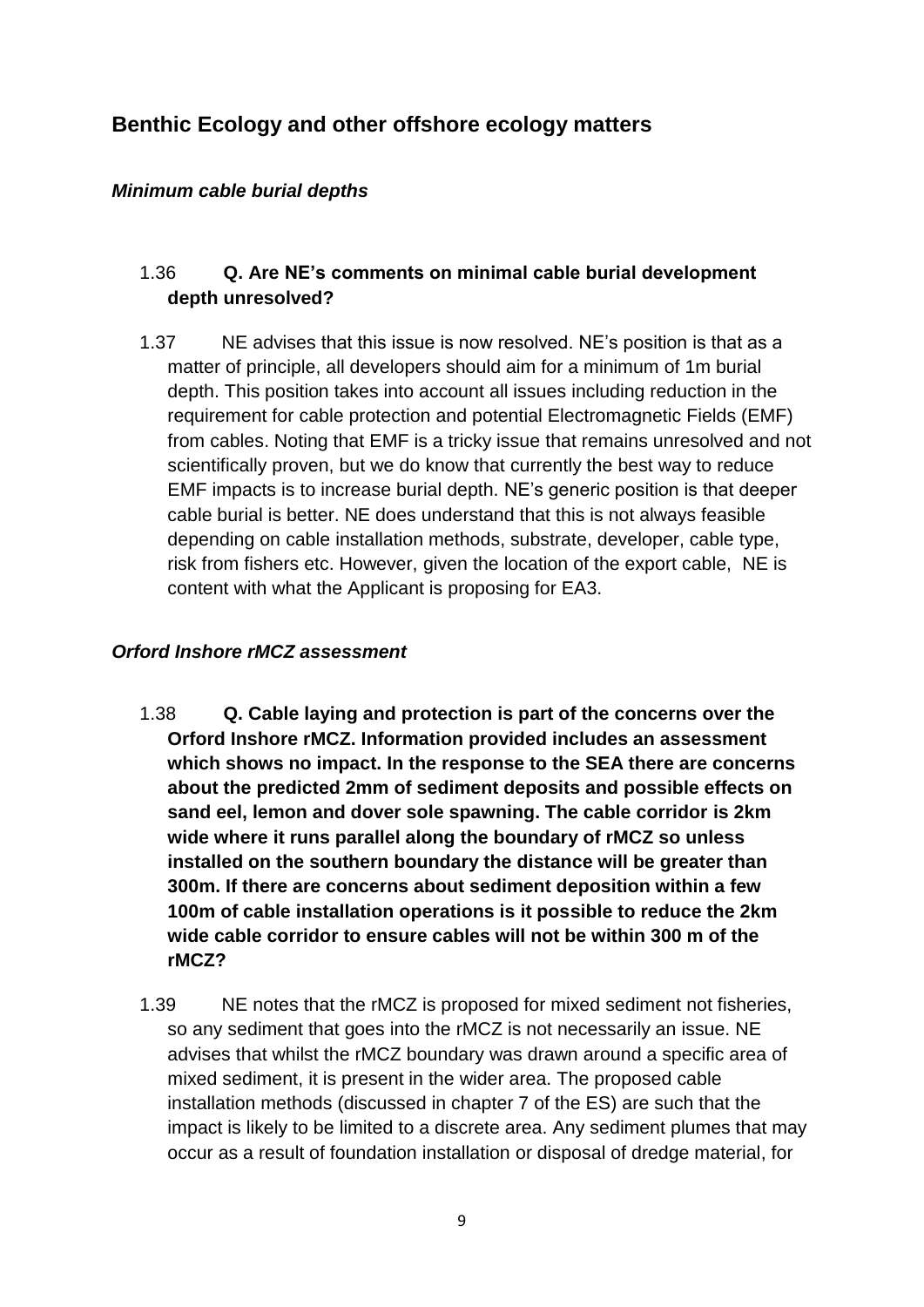## **Benthic Ecology and other offshore ecology matters**

### *Minimum cable burial depths*

## 1.36 **Q. Are NE's comments on minimal cable burial development depth unresolved?**

1.37 NE advises that this issue is now resolved. NE's position is that as a matter of principle, all developers should aim for a minimum of 1m burial depth. This position takes into account all issues including reduction in the requirement for cable protection and potential Electromagnetic Fields (EMF) from cables. Noting that EMF is a tricky issue that remains unresolved and not scientifically proven, but we do know that currently the best way to reduce EMF impacts is to increase burial depth. NE's generic position is that deeper cable burial is better. NE does understand that this is not always feasible depending on cable installation methods, substrate, developer, cable type, risk from fishers etc. However, given the location of the export cable, NE is content with what the Applicant is proposing for EA3.

### *Orford Inshore rMCZ assessment*

- 1.38 **Q. Cable laying and protection is part of the concerns over the Orford Inshore rMCZ. Information provided includes an assessment which shows no impact. In the response to the SEA there are concerns about the predicted 2mm of sediment deposits and possible effects on sand eel, lemon and dover sole spawning. The cable corridor is 2km wide where it runs parallel along the boundary of rMCZ so unless installed on the southern boundary the distance will be greater than 300m. If there are concerns about sediment deposition within a few 100m of cable installation operations is it possible to reduce the 2km wide cable corridor to ensure cables will not be within 300 m of the rMCZ?**
- 1.39 NE notes that the rMCZ is proposed for mixed sediment not fisheries, so any sediment that goes into the rMCZ is not necessarily an issue. NE advises that whilst the rMCZ boundary was drawn around a specific area of mixed sediment, it is present in the wider area. The proposed cable installation methods (discussed in chapter 7 of the ES) are such that the impact is likely to be limited to a discrete area. Any sediment plumes that may occur as a result of foundation installation or disposal of dredge material, for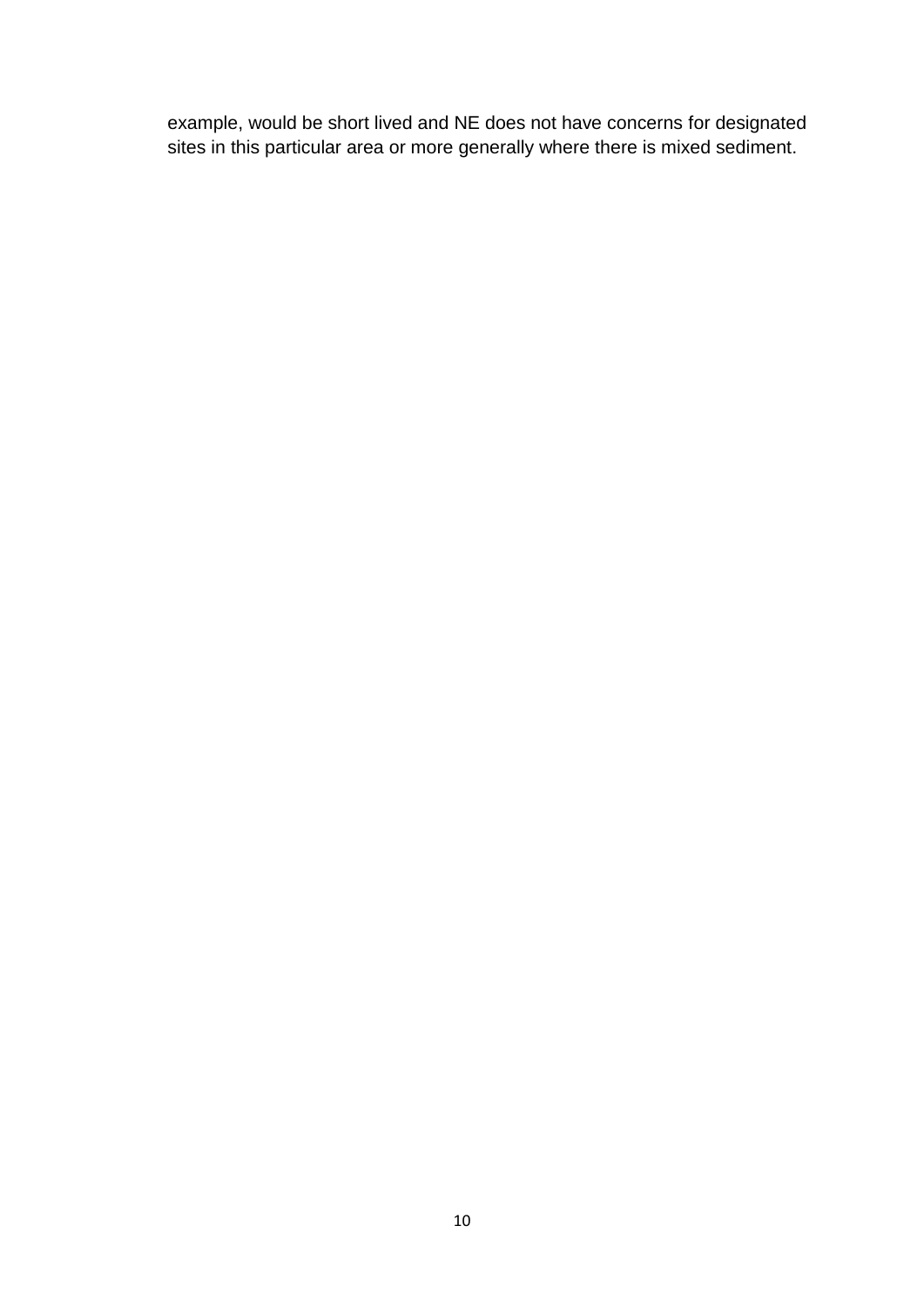example, would be short lived and NE does not have concerns for designated sites in this particular area or more generally where there is mixed sediment.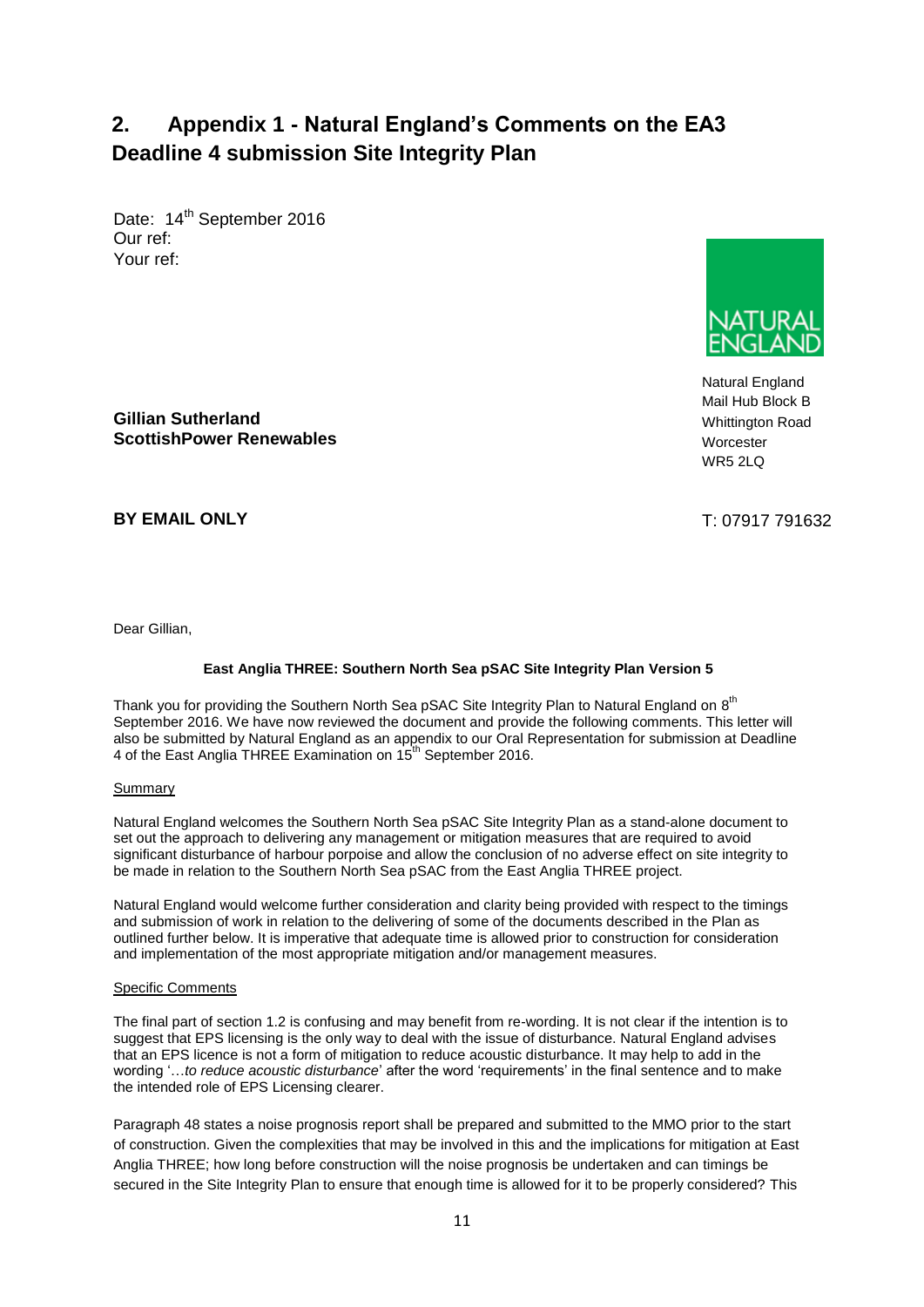# **2. Appendix 1 - Natural England's Comments on the EA3 Deadline 4 submission Site Integrity Plan**

Date: 14<sup>th</sup> September 2016 Our ref: Your ref:



Natural England Mail Hub Block B Whittington Road **Worcester** WR5 2LQ

**BY EMAIL ONLY**

**Gillian Sutherland**

**ScottishPower Renewables**

T: 07917 791632

Dear Gillian,

#### **East Anglia THREE: Southern North Sea pSAC Site Integrity Plan Version 5**

Thank you for providing the Southern North Sea pSAC Site Integrity Plan to Natural England on  $8<sup>th</sup>$ September 2016. We have now reviewed the document and provide the following comments. This letter will also be submitted by Natural England as an appendix to our Oral Representation for submission at Deadline 4 of the East Anglia THREE Examination on 15<sup>th</sup> September 2016.

#### Summary

Natural England welcomes the Southern North Sea pSAC Site Integrity Plan as a stand-alone document to set out the approach to delivering any management or mitigation measures that are required to avoid significant disturbance of harbour porpoise and allow the conclusion of no adverse effect on site integrity to be made in relation to the Southern North Sea pSAC from the East Anglia THREE project.

Natural England would welcome further consideration and clarity being provided with respect to the timings and submission of work in relation to the delivering of some of the documents described in the Plan as outlined further below. It is imperative that adequate time is allowed prior to construction for consideration and implementation of the most appropriate mitigation and/or management measures.

#### Specific Comments

The final part of section 1.2 is confusing and may benefit from re-wording. It is not clear if the intention is to suggest that EPS licensing is the only way to deal with the issue of disturbance. Natural England advises that an EPS licence is not a form of mitigation to reduce acoustic disturbance. It may help to add in the wording '…*to reduce acoustic disturbance*' after the word 'requirements' in the final sentence and to make the intended role of EPS Licensing clearer.

Paragraph 48 states a noise prognosis report shall be prepared and submitted to the MMO prior to the start of construction. Given the complexities that may be involved in this and the implications for mitigation at East Anglia THREE; how long before construction will the noise prognosis be undertaken and can timings be secured in the Site Integrity Plan to ensure that enough time is allowed for it to be properly considered? This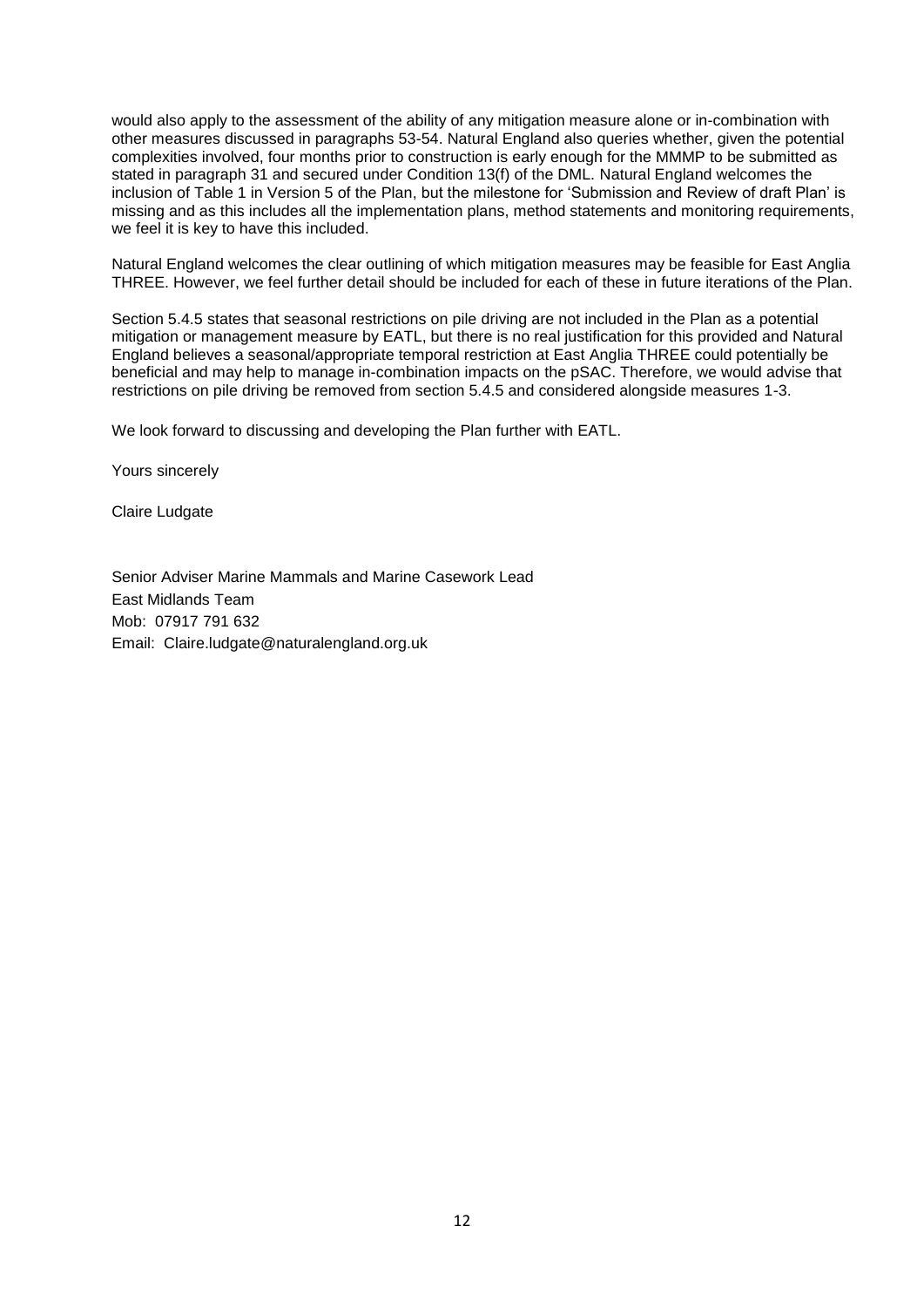would also apply to the assessment of the ability of any mitigation measure alone or in-combination with other measures discussed in paragraphs 53-54. Natural England also queries whether, given the potential complexities involved, four months prior to construction is early enough for the MMMP to be submitted as stated in paragraph 31 and secured under Condition 13(f) of the DML. Natural England welcomes the inclusion of Table 1 in Version 5 of the Plan, but the milestone for 'Submission and Review of draft Plan' is missing and as this includes all the implementation plans, method statements and monitoring requirements, we feel it is key to have this included.

Natural England welcomes the clear outlining of which mitigation measures may be feasible for East Anglia THREE. However, we feel further detail should be included for each of these in future iterations of the Plan.

Section 5.4.5 states that seasonal restrictions on pile driving are not included in the Plan as a potential mitigation or management measure by EATL, but there is no real justification for this provided and Natural England believes a seasonal/appropriate temporal restriction at East Anglia THREE could potentially be beneficial and may help to manage in-combination impacts on the pSAC. Therefore, we would advise that restrictions on pile driving be removed from section 5.4.5 and considered alongside measures 1-3. England believes a seasonal/appropriate temporal restriction at East Angli<br>beneficial and may help to manage in-combination impacts on the pSAC. T<br>restrictions on pile driving be removed from section 5.4.5 and considered a

Yours sincerely

Claire Ludgate

Senior Adviser Marine Mammals and Marine Casework Lead East Midlands Team Mob: 07917 791 632 Email: Claire.ludgate@naturalengland.org.uk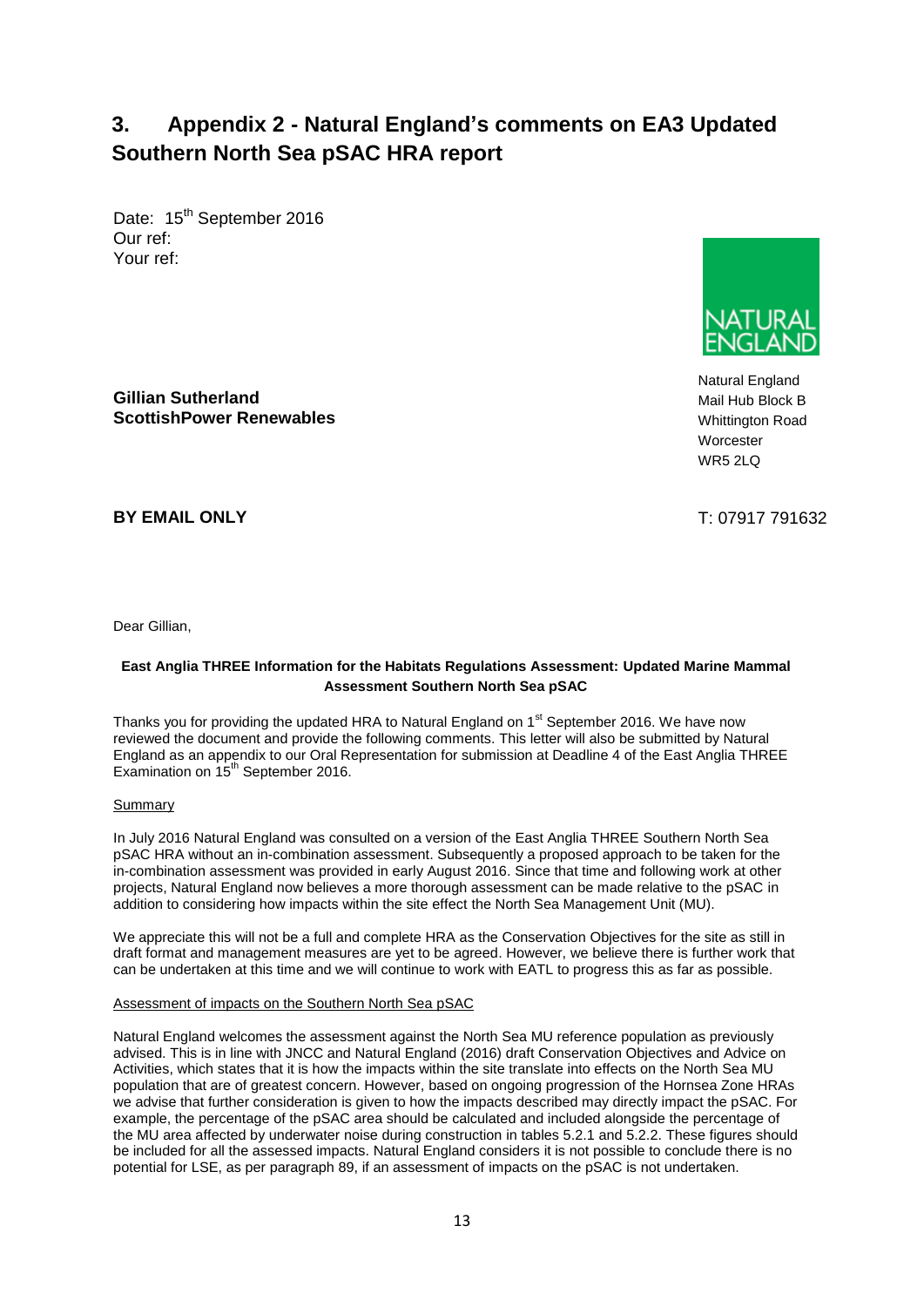# **3. Appendix 2 - Natural England's comments on EA3 Updated Southern North Sea pSAC HRA report**

Date: 15<sup>th</sup> September 2016 Our ref: Your ref:



**Gillian Sutherland ScottishPower Renewables**

Natural England Mail Hub Block B Whittington Road **Worcester** WR5 2LQ

**BY EMAIL ONLY**

T: 07917 791632

Dear Gillian,

#### **East Anglia THREE Information for the Habitats Regulations Assessment: Updated Marine Mammal Assessment Southern North Sea pSAC**

Thanks you for providing the updated HRA to Natural England on 1<sup>st</sup> September 2016. We have now reviewed the document and provide the following comments. This letter will also be submitted by Natural England as an appendix to our Oral Representation for submission at Deadline 4 of the East Anglia THREE Examination on 15<sup>th</sup> September 2016.

#### **Summary**

In July 2016 Natural England was consulted on a version of the East Anglia THREE Southern North Sea pSAC HRA without an in-combination assessment. Subsequently a proposed approach to be taken for the in-combination assessment was provided in early August 2016. Since that time and following work at other projects, Natural England now believes a more thorough assessment can be made relative to the pSAC in addition to considering how impacts within the site effect the North Sea Management Unit (MU).

We appreciate this will not be a full and complete HRA as the Conservation Objectives for the site as still in draft format and management measures are yet to be agreed. However, we believe there is further work that can be undertaken at this time and we will continue to work with EATL to progress this as far as possible.

#### Assessment of impacts on the Southern North Sea pSAC

Natural England welcomes the assessment against the North Sea MU reference population as previously advised. This is in line with JNCC and Natural England (2016) draft Conservation Objectives and Advice on Activities, which states that it is how the impacts within the site translate into effects on the North Sea MU population that are of greatest concern. However, based on ongoing progression of the Hornsea Zone HRAs we advise that further consideration is given to how the impacts described may directly impact the pSAC. For example, the percentage of the pSAC area should be calculated and included alongside the percentage of the MU area affected by underwater noise during construction in tables 5.2.1 and 5.2.2. These figures should be included for all the assessed impacts. Natural England considers it is not possible to conclude there is no potential for LSE, as per paragraph 89, if an assessment of impacts on the pSAC is not undertaken.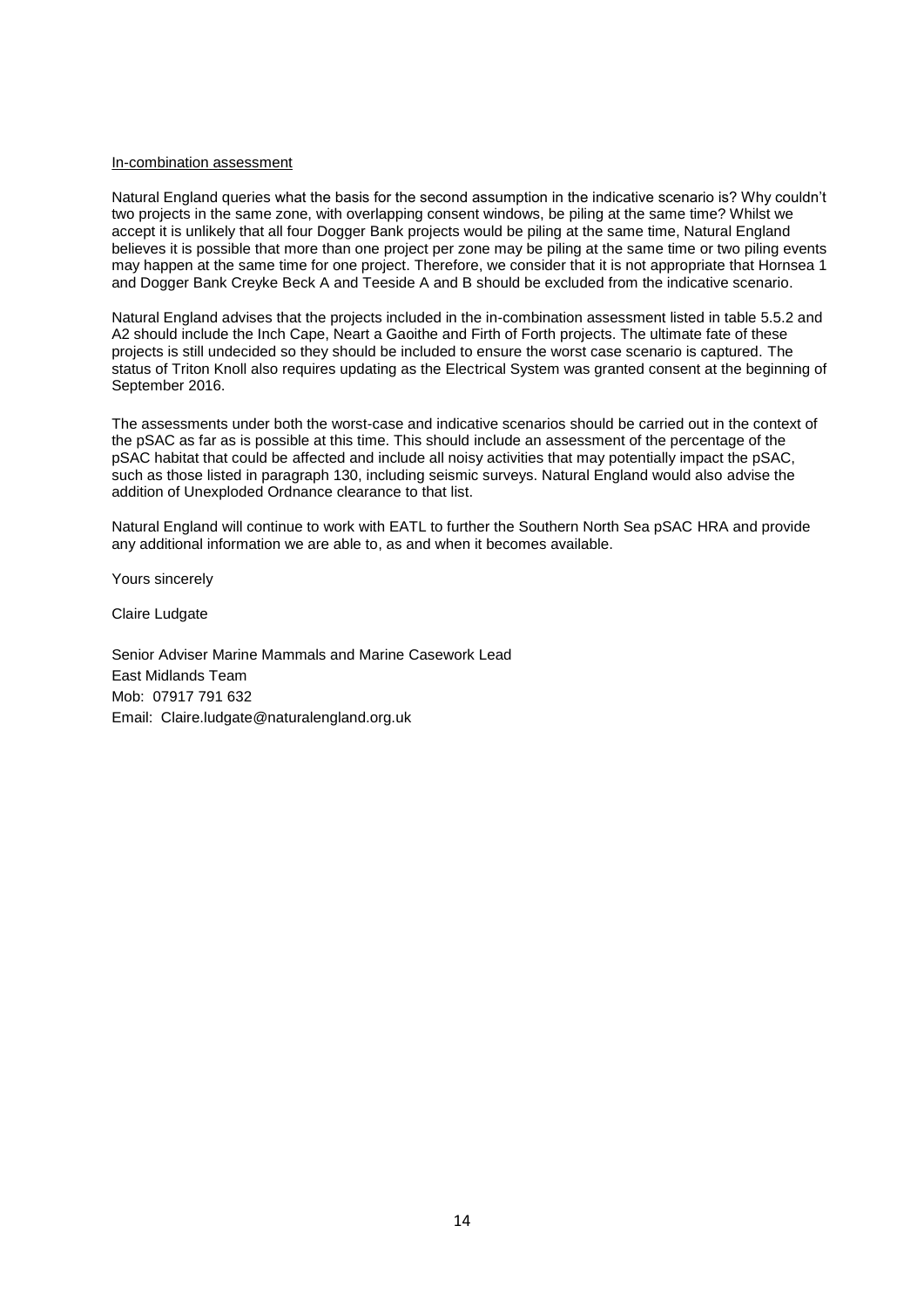#### In-combination assessment

Natural England queries what the basis for the second assumption in the indicative scenario is? Why couldn't two projects in the same zone, with overlapping consent windows, be piling at the same time? Whilst we accept it is unlikely that all four Dogger Bank projects would be piling at the same time. Natural England believes it is possible that more than one project per zone may be piling at the same time or two piling events may happen at the same time for one project. Therefore, we consider that it is not appropriate that Hornsea 1 and Dogger Bank Creyke Beck A and Teeside A and B should be excluded from the indicative scenario.

Natural England advises that the projects included in the in-combination assessment listed in table 5.5.2 and A2 should include the Inch Cape, Neart a Gaoithe and Firth of Forth projects. The ultimate fate of these projects is still undecided so they should be included to ensure the worst case scenario is captured. The status of Triton Knoll also requires updating as the Electrical System was granted consent at the beginning of September 2016.

The assessments under both the worst-case and indicative scenarios should be carried out in the context of the pSAC as far as is possible at this time. This should include an assessment of the percentage of the pSAC habitat that could be affected and include all noisy activities that may potentially impact the pSAC, such as those listed in paragraph 130, including seismic surveys. Natural England would also advise the addition of Unexploded Ordnance clearance to that list.

Natural England will continue to work with EATL to further the Southern North Sea pSAC HRA and provide any additional information we are able to, as and when it becomes available.

Yours sincerely

Claire Ludgate

Senior Adviser Marine Mammals and Marine Casework Lead East Midlands Team Mob: 07917 791 632 Email: Claire.ludgate@naturalengland.org.uk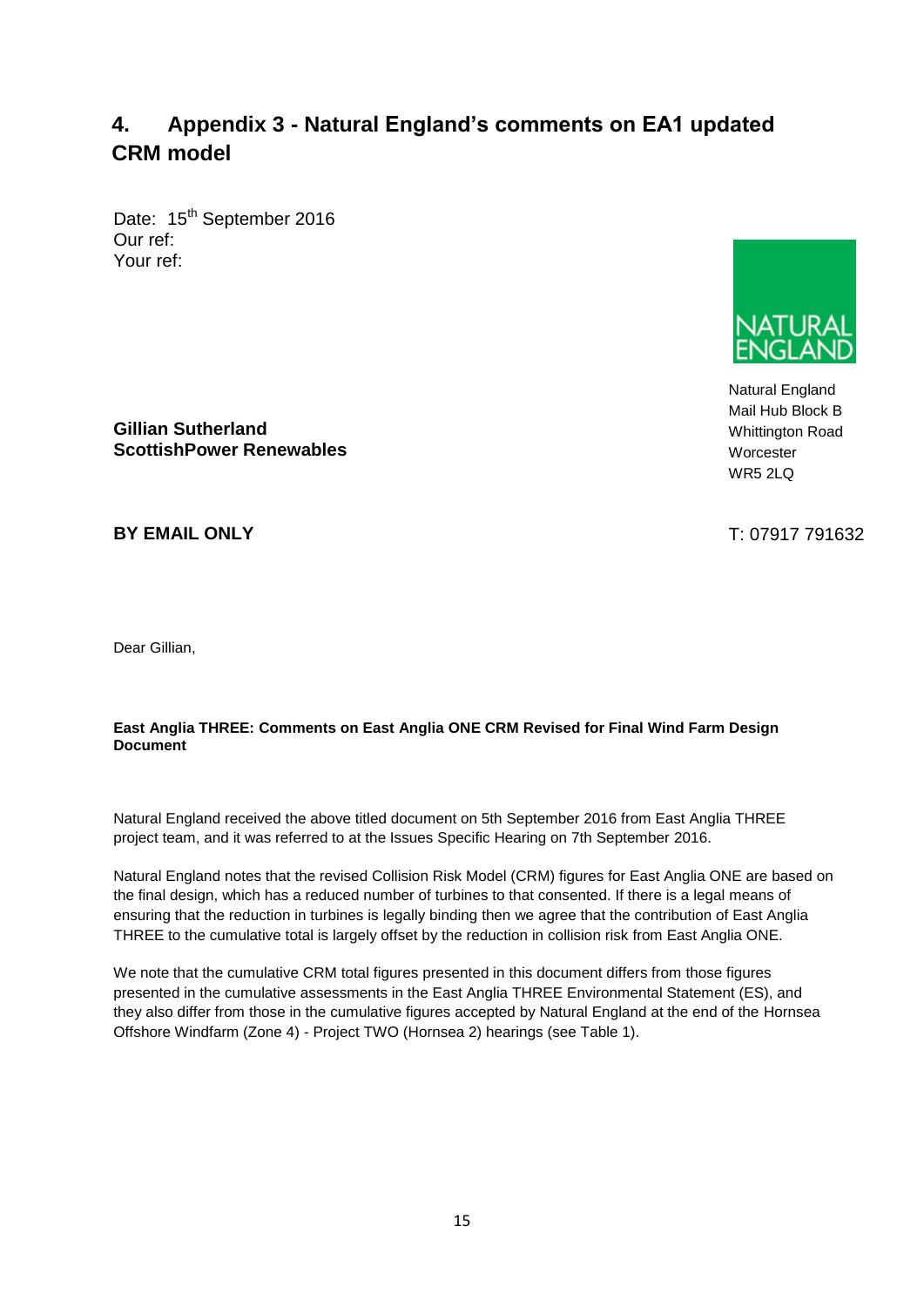## **4. Appendix 3 - Natural England's comments on EA1 updated CRM model**

Date: 15<sup>th</sup> September 2016 Our ref: Your ref:



Natural England Mail Hub Block B Whittington Road Worcester WR5 2LQ

**BY EMAIL ONLY**

**Gillian Sutherland**

**ScottishPower Renewables**

T: 07917 791632

Dear Gillian,

#### **East Anglia THREE: Comments on East Anglia ONE CRM Revised for Final Wind Farm Design Document**

Natural England received the above titled document on 5th September 2016 from East Anglia THREE project team, and it was referred to at the Issues Specific Hearing on 7th September 2016.

Natural England notes that the revised Collision Risk Model (CRM) figures for East Anglia ONE are based on the final design, which has a reduced number of turbines to that consented. If there is a legal means of ensuring that the reduction in turbines is legally binding then we agree that the contribution of East Anglia THREE to the cumulative total is largely offset by the reduction in collision risk from East Anglia ONE.

We note that the cumulative CRM total figures presented in this document differs from those figures presented in the cumulative assessments in the East Anglia THREE Environmental Statement (ES), and they also differ from those in the cumulative figures accepted by Natural England at the end of the Hornsea Offshore Windfarm (Zone 4) - Project TWO (Hornsea 2) hearings (see Table 1).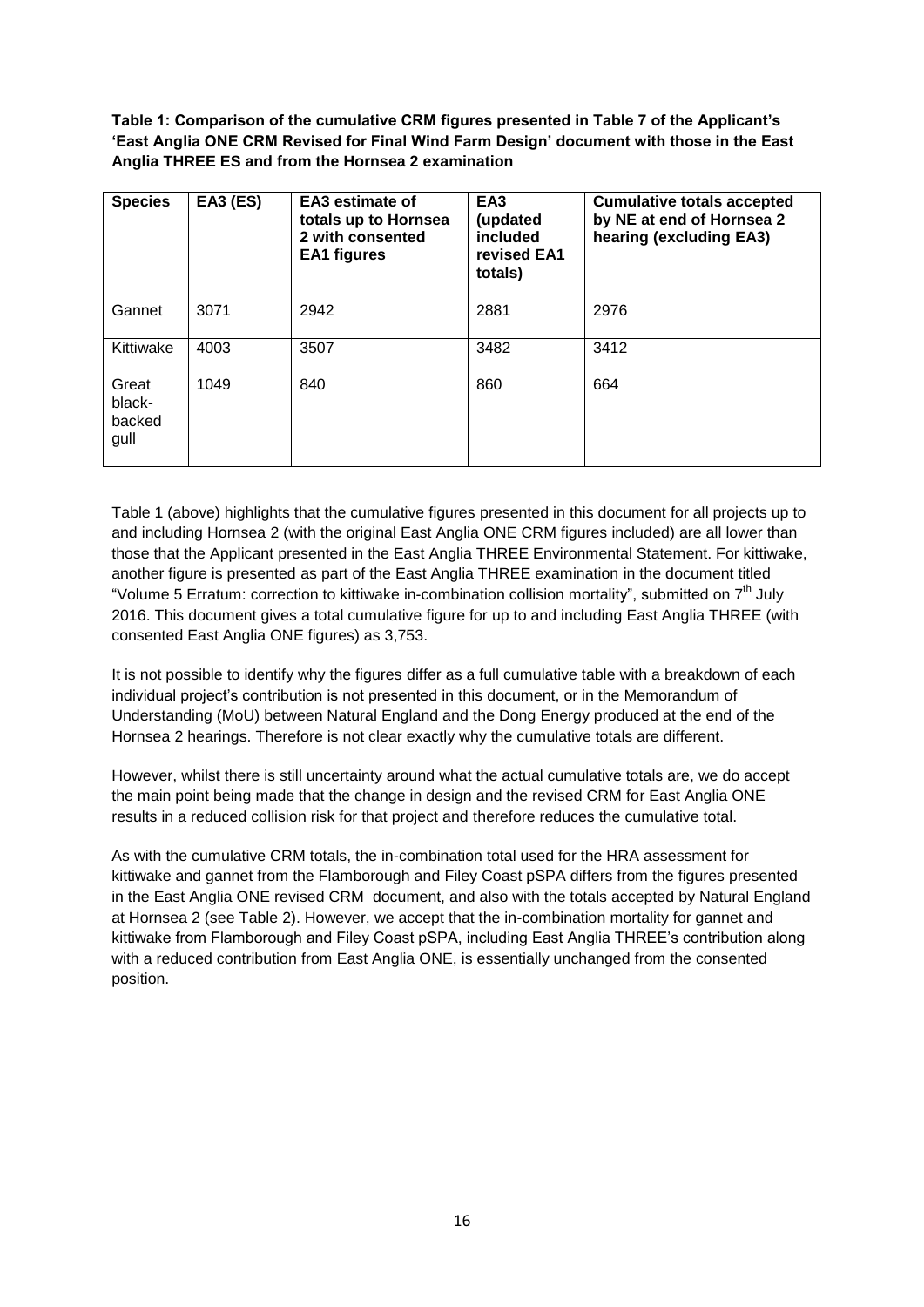**Table 1: Comparison of the cumulative CRM figures presented in Table 7 of the Applicant's 'East Anglia ONE CRM Revised for Final Wind Farm Design' document with those in the East Anglia THREE ES and from the Hornsea 2 examination**

| <b>Species</b>                    | <b>EA3 (ES)</b> | EA3 estimate of<br>totals up to Hornsea<br>2 with consented<br><b>EA1 figures</b> | EA <sub>3</sub><br>(updated<br>included<br>revised EA1<br>totals) | <b>Cumulative totals accepted</b><br>by NE at end of Hornsea 2<br>hearing (excluding EA3) |
|-----------------------------------|-----------------|-----------------------------------------------------------------------------------|-------------------------------------------------------------------|-------------------------------------------------------------------------------------------|
| Gannet                            | 3071            | 2942                                                                              | 2881                                                              | 2976                                                                                      |
| Kittiwake                         | 4003            | 3507                                                                              | 3482                                                              | 3412                                                                                      |
| Great<br>black-<br>backed<br>gull | 1049            | 840                                                                               | 860                                                               | 664                                                                                       |

Table 1 (above) highlights that the cumulative figures presented in this document for all projects up to and including Hornsea 2 (with the original East Anglia ONE CRM figures included) are all lower than those that the Applicant presented in the East Anglia THREE Environmental Statement. For kittiwake, another figure is presented as part of the East Anglia THREE examination in the document titled "Volume 5 Erratum: correction to kittiwake in-combination collision mortality", submitted on 7<sup>th</sup> July 2016. This document gives a total cumulative figure for up to and including East Anglia THREE (with consented East Anglia ONE figures) as 3,753.

It is not possible to identify why the figures differ as a full cumulative table with a breakdown of each individual project's contribution is not presented in this document, or in the Memorandum of Understanding (MoU) between Natural England and the Dong Energy produced at the end of the Hornsea 2 hearings. Therefore is not clear exactly why the cumulative totals are different.

However, whilst there is still uncertainty around what the actual cumulative totals are, we do accept the main point being made that the change in design and the revised CRM for East Anglia ONE results in a reduced collision risk for that project and therefore reduces the cumulative total.

As with the cumulative CRM totals, the in-combination total used for the HRA assessment for kittiwake and gannet from the Flamborough and Filey Coast pSPA differs from the figures presented in the East Anglia ONE revised CRM document, and also with the totals accepted by Natural England at Hornsea 2 (see Table 2). However, we accept that the in-combination mortality for gannet and kittiwake from Flamborough and Filey Coast pSPA, including East Anglia THREE's contribution along with a reduced contribution from East Anglia ONE, is essentially unchanged from the consented position.